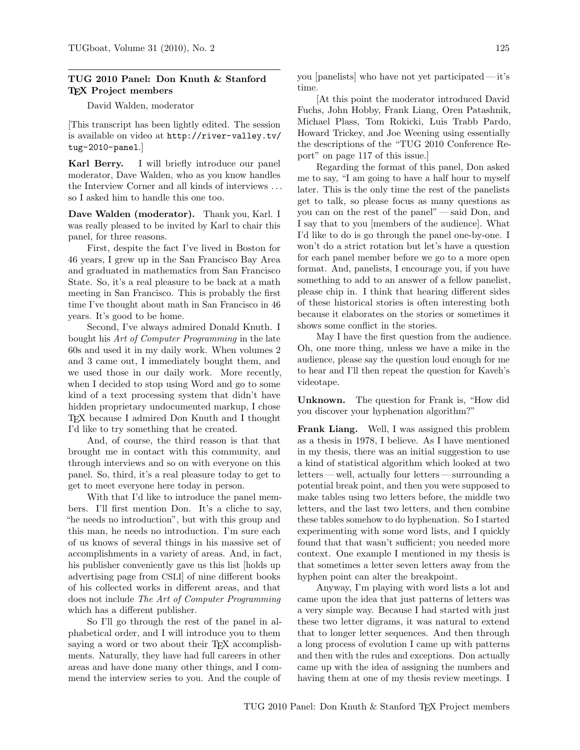# TUG 2010 Panel: Don Knuth & Stanford T<sub>F</sub>X Project members

David Walden, moderator

[This transcript has been lightly edited. The session is available on video at http://river-valley.tv/ tug-2010-panel.]

Karl Berry. I will briefly introduce our panel moderator, Dave Walden, who as you know handles the Interview Corner and all kinds of interviews . . . so I asked him to handle this one too.

Dave Walden (moderator). Thank you, Karl. I was really pleased to be invited by Karl to chair this panel, for three reasons.

First, despite the fact I've lived in Boston for 46 years, I grew up in the San Francisco Bay Area and graduated in mathematics from San Francisco State. So, it's a real pleasure to be back at a math meeting in San Francisco. This is probably the first time I've thought about math in San Francisco in 46 years. It's good to be home.

Second, I've always admired Donald Knuth. I bought his Art of Computer Programming in the late 60s and used it in my daily work. When volumes 2 and 3 came out, I immediately bought them, and we used those in our daily work. More recently, when I decided to stop using Word and go to some kind of a text processing system that didn't have hidden proprietary undocumented markup, I chose TEX because I admired Don Knuth and I thought I'd like to try something that he created.

And, of course, the third reason is that that brought me in contact with this community, and through interviews and so on with everyone on this panel. So, third, it's a real pleasure today to get to get to meet everyone here today in person.

With that I'd like to introduce the panel members. I'll first mention Don. It's a cliche to say, "he needs no introduction", but with this group and this man, he needs no introduction. I'm sure each of us knows of several things in his massive set of accomplishments in a variety of areas. And, in fact, his publisher conveniently gave us this list [holds up advertising page from CSLI] of nine different books of his collected works in different areas, and that does not include The Art of Computer Programming which has a different publisher.

So I'll go through the rest of the panel in alphabetical order, and I will introduce you to them saying a word or two about their T<sub>F</sub>X accomplishments. Naturally, they have had full careers in other areas and have done many other things, and I commend the interview series to you. And the couple of you [panelists] who have not yet participated— it's time.

[At this point the moderator introduced David Fuchs, John Hobby, Frank Liang, Oren Patashnik, Michael Plass, Tom Rokicki, Luis Trabb Pardo, Howard Trickey, and Joe Weening using essentially the descriptions of the "TUG 2010 Conference Report" on page 117 of this issue.]

Regarding the format of this panel, Don asked me to say, "I am going to have a half hour to myself later. This is the only time the rest of the panelists get to talk, so please focus as many questions as you can on the rest of the panel"— said Don, and I say that to you [members of the audience]. What I'd like to do is go through the panel one-by-one. I won't do a strict rotation but let's have a question for each panel member before we go to a more open format. And, panelists, I encourage you, if you have something to add to an answer of a fellow panelist, please chip in. I think that hearing different sides of these historical stories is often interesting both because it elaborates on the stories or sometimes it shows some conflict in the stories.

May I have the first question from the audience. Oh, one more thing, unless we have a mike in the audience, please say the question loud enough for me to hear and I'll then repeat the question for Kaveh's videotape.

Unknown. The question for Frank is, "How did you discover your hyphenation algorithm?"

Frank Liang. Well, I was assigned this problem as a thesis in 1978, I believe. As I have mentioned in my thesis, there was an initial suggestion to use a kind of statistical algorithm which looked at two letters— well, actually four letters— surrounding a potential break point, and then you were supposed to make tables using two letters before, the middle two letters, and the last two letters, and then combine these tables somehow to do hyphenation. So I started experimenting with some word lists, and I quickly found that that wasn't sufficient; you needed more context. One example I mentioned in my thesis is that sometimes a letter seven letters away from the hyphen point can alter the breakpoint.

Anyway, I'm playing with word lists a lot and came upon the idea that just patterns of letters was a very simple way. Because I had started with just these two letter digrams, it was natural to extend that to longer letter sequences. And then through a long process of evolution I came up with patterns and then with the rules and exceptions. Don actually came up with the idea of assigning the numbers and having them at one of my thesis review meetings. I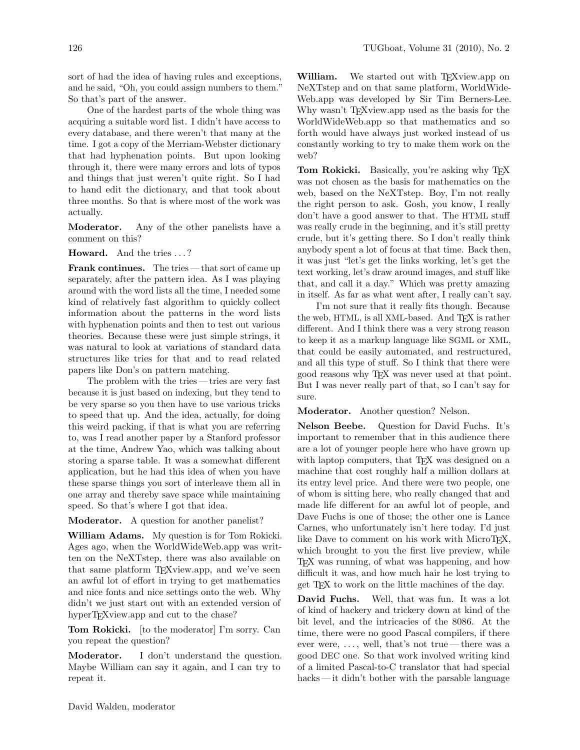sort of had the idea of having rules and exceptions, and he said, "Oh, you could assign numbers to them." So that's part of the answer.

One of the hardest parts of the whole thing was acquiring a suitable word list. I didn't have access to every database, and there weren't that many at the time. I got a copy of the Merriam-Webster dictionary that had hyphenation points. But upon looking through it, there were many errors and lots of typos and things that just weren't quite right. So I had to hand edit the dictionary, and that took about three months. So that is where most of the work was actually.

Moderator. Any of the other panelists have a comment on this?

Howard. And the tries ...?

Frank continues. The tries — that sort of came up separately, after the pattern idea. As I was playing around with the word lists all the time, I needed some kind of relatively fast algorithm to quickly collect information about the patterns in the word lists with hyphenation points and then to test out various theories. Because these were just simple strings, it was natural to look at variations of standard data structures like tries for that and to read related papers like Don's on pattern matching.

The problem with the tries — tries are very fast because it is just based on indexing, but they tend to be very sparse so you then have to use various tricks to speed that up. And the idea, actually, for doing this weird packing, if that is what you are referring to, was I read another paper by a Stanford professor at the time, Andrew Yao, which was talking about storing a sparse table. It was a somewhat different application, but he had this idea of when you have these sparse things you sort of interleave them all in one array and thereby save space while maintaining speed. So that's where I got that idea.

Moderator. A question for another panelist?

William Adams. My question is for Tom Rokicki. Ages ago, when the WorldWideWeb.app was written on the NeXTstep, there was also available on that same platform T<sub>EX</sub> view.app, and we've seen an awful lot of effort in trying to get mathematics and nice fonts and nice settings onto the web. Why didn't we just start out with an extended version of hyperT<sub>E</sub>Xview.app and cut to the chase?

Tom Rokicki. [to the moderator] I'm sorry. Can you repeat the question?

Moderator. I don't understand the question. Maybe William can say it again, and I can try to repeat it.

William. We started out with TEXview.app on NeXTstep and on that same platform, WorldWide-Web.app was developed by Sir Tim Berners-Lee. Why wasn't TEXview.app used as the basis for the WorldWideWeb.app so that mathematics and so forth would have always just worked instead of us constantly working to try to make them work on the web?

Tom Rokicki. Basically, you're asking why TEX was not chosen as the basis for mathematics on the web, based on the NeXTstep. Boy, I'm not really the right person to ask. Gosh, you know, I really don't have a good answer to that. The HTML stuff was really crude in the beginning, and it's still pretty crude, but it's getting there. So I don't really think anybody spent a lot of focus at that time. Back then, it was just "let's get the links working, let's get the text working, let's draw around images, and stuff like that, and call it a day." Which was pretty amazing in itself. As far as what went after, I really can't say.

I'm not sure that it really fits though. Because the web, HTML, is all XML-based. And T<sub>F</sub>X is rather different. And I think there was a very strong reason to keep it as a markup language like SGML or XML, that could be easily automated, and restructured, and all this type of stuff. So I think that there were good reasons why TEX was never used at that point. But I was never really part of that, so I can't say for sure.

Moderator. Another question? Nelson.

Nelson Beebe. Question for David Fuchs. It's important to remember that in this audience there are a lot of younger people here who have grown up with laptop computers, that T<sub>EX</sub> was designed on a machine that cost roughly half a million dollars at its entry level price. And there were two people, one of whom is sitting here, who really changed that and made life different for an awful lot of people, and Dave Fuchs is one of those; the other one is Lance Carnes, who unfortunately isn't here today. I'd just like Dave to comment on his work with MicroT<sub>EX</sub>, which brought to you the first live preview, while TEX was running, of what was happening, and how difficult it was, and how much hair he lost trying to get TEX to work on the little machines of the day.

David Fuchs. Well, that was fun. It was a lot of kind of hackery and trickery down at kind of the bit level, and the intricacies of the 8086. At the time, there were no good Pascal compilers, if there ever were,  $\dots$ , well, that's not true—there was a good DEC one. So that work involved writing kind of a limited Pascal-to-C translator that had special hacks — it didn't bother with the parsable language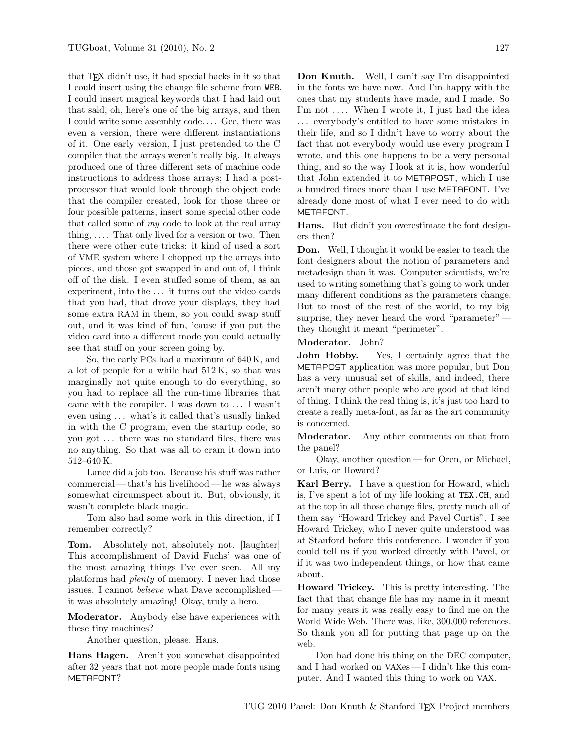that TEX didn't use, it had special hacks in it so that I could insert using the change file scheme from WEB. I could insert magical keywords that I had laid out that said, oh, here's one of the big arrays, and then I could write some assembly code. . . . Gee, there was even a version, there were different instantiations of it. One early version, I just pretended to the C compiler that the arrays weren't really big. It always produced one of three different sets of machine code instructions to address those arrays; I had a postprocessor that would look through the object code that the compiler created, look for those three or four possible patterns, insert some special other code that called some of my code to look at the real array thing,  $\dots$  That only lived for a version or two. Then there were other cute tricks: it kind of used a sort of VME system where I chopped up the arrays into pieces, and those got swapped in and out of, I think off of the disk. I even stuffed some of them, as an experiment, into the . . . it turns out the video cards that you had, that drove your displays, they had some extra RAM in them, so you could swap stuff out, and it was kind of fun, 'cause if you put the video card into a different mode you could actually see that stuff on your screen going by.

So, the early PCs had a maximum of 640 K, and a lot of people for a while had 512 K, so that was marginally not quite enough to do everything, so you had to replace all the run-time libraries that came with the compiler. I was down to . . . I wasn't even using . . . what's it called that's usually linked in with the C program, even the startup code, so you got . . . there was no standard files, there was no anything. So that was all to cram it down into 512–640 K.

Lance did a job too. Because his stuff was rather commercial— that's his livelihood— he was always somewhat circumspect about it. But, obviously, it wasn't complete black magic.

Tom also had some work in this direction, if I remember correctly?

Tom. Absolutely not, absolutely not. [laughter] This accomplishment of David Fuchs' was one of the most amazing things I've ever seen. All my platforms had plenty of memory. I never had those issues. I cannot believe what Dave accomplished it was absolutely amazing! Okay, truly a hero.

Moderator. Anybody else have experiences with these tiny machines?

Another question, please. Hans.

Hans Hagen. Aren't you somewhat disappointed after 32 years that not more people made fonts using METAFONT?

Don Knuth. Well, I can't say I'm disappointed in the fonts we have now. And I'm happy with the ones that my students have made, and I made. So I'm not .... When I wrote it, I just had the idea . . . everybody's entitled to have some mistakes in their life, and so I didn't have to worry about the fact that not everybody would use every program I wrote, and this one happens to be a very personal thing, and so the way I look at it is, how wonderful that John extended it to METAPOST, which I use a hundred times more than I use METAFONT. I've already done most of what I ever need to do with METAFONT.

Hans. But didn't you overestimate the font designers then?

Don. Well, I thought it would be easier to teach the font designers about the notion of parameters and metadesign than it was. Computer scientists, we're used to writing something that's going to work under many different conditions as the parameters change. But to most of the rest of the world, to my big surprise, they never heard the word "parameter" they thought it meant "perimeter".

Moderator. John?

John Hobby. Yes, I certainly agree that the METAPOST application was more popular, but Don has a very unusual set of skills, and indeed, there aren't many other people who are good at that kind of thing. I think the real thing is, it's just too hard to create a really meta-font, as far as the art community is concerned.

Moderator. Any other comments on that from the panel?

Okay, another question — for Oren, or Michael, or Luis, or Howard?

Karl Berry. I have a question for Howard, which is, I've spent a lot of my life looking at TEX.CH, and at the top in all those change files, pretty much all of them say "Howard Trickey and Pavel Curtis". I see Howard Trickey, who I never quite understood was at Stanford before this conference. I wonder if you could tell us if you worked directly with Pavel, or if it was two independent things, or how that came about.

Howard Trickey. This is pretty interesting. The fact that that change file has my name in it meant for many years it was really easy to find me on the World Wide Web. There was, like, 300,000 references. So thank you all for putting that page up on the web.

Don had done his thing on the DEC computer, and I had worked on VAXes — I didn't like this computer. And I wanted this thing to work on VAX.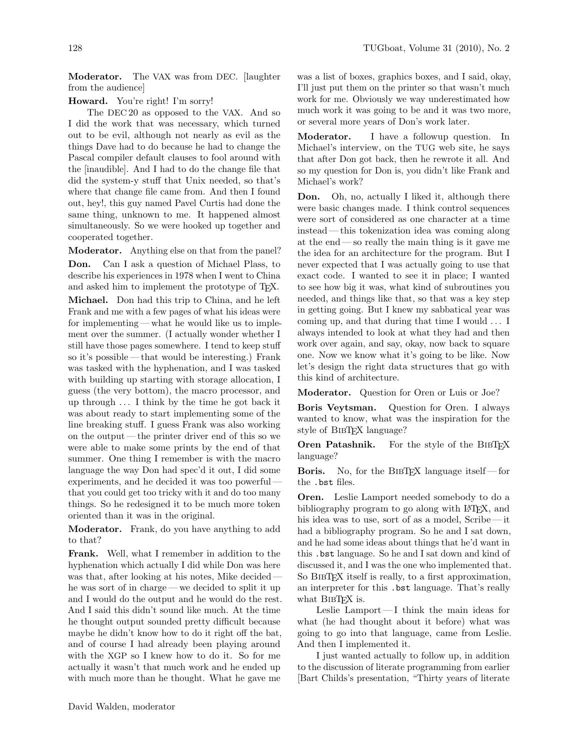Moderator. The VAX was from DEC. [laughter from the audience]

## Howard. You're right! I'm sorry!

The DEC 20 as opposed to the VAX. And so I did the work that was necessary, which turned out to be evil, although not nearly as evil as the things Dave had to do because he had to change the Pascal compiler default clauses to fool around with the [inaudible]. And I had to do the change file that did the system-y stuff that Unix needed, so that's where that change file came from. And then I found out, hey!, this guy named Pavel Curtis had done the same thing, unknown to me. It happened almost simultaneously. So we were hooked up together and cooperated together.

Moderator. Anything else on that from the panel? Don. Can I ask a question of Michael Plass, to describe his experiences in 1978 when I went to China and asked him to implement the prototype of TEX. Michael. Don had this trip to China, and he left Frank and me with a few pages of what his ideas were for implementing— what he would like us to implement over the summer. (I actually wonder whether I still have those pages somewhere. I tend to keep stuff so it's possible— that would be interesting.) Frank was tasked with the hyphenation, and I was tasked with building up starting with storage allocation, I guess (the very bottom), the macro processor, and up through . . . I think by the time he got back it was about ready to start implementing some of the line breaking stuff. I guess Frank was also working on the output — the printer driver end of this so we were able to make some prints by the end of that summer. One thing I remember is with the macro language the way Don had spec'd it out, I did some experiments, and he decided it was too powerful that you could get too tricky with it and do too many things. So he redesigned it to be much more token oriented than it was in the original.

Moderator. Frank, do you have anything to add to that?

Frank. Well, what I remember in addition to the hyphenation which actually I did while Don was here was that, after looking at his notes, Mike decided he was sort of in charge— we decided to split it up and I would do the output and he would do the rest. And I said this didn't sound like much. At the time he thought output sounded pretty difficult because maybe he didn't know how to do it right off the bat, and of course I had already been playing around with the XGP so I knew how to do it. So for me actually it wasn't that much work and he ended up with much more than he thought. What he gave me

was a list of boxes, graphics boxes, and I said, okay, I'll just put them on the printer so that wasn't much work for me. Obviously we way underestimated how much work it was going to be and it was two more, or several more years of Don's work later.

Moderator. I have a followup question. In Michael's interview, on the TUG web site, he says that after Don got back, then he rewrote it all. And so my question for Don is, you didn't like Frank and Michael's work?

Don. Oh, no, actually I liked it, although there were basic changes made. I think control sequences were sort of considered as one character at a time instead— this tokenization idea was coming along at the end— so really the main thing is it gave me the idea for an architecture for the program. But I never expected that I was actually going to use that exact code. I wanted to see it in place; I wanted to see how big it was, what kind of subroutines you needed, and things like that, so that was a key step in getting going. But I knew my sabbatical year was coming up, and that during that time I would . . . I always intended to look at what they had and then work over again, and say, okay, now back to square one. Now we know what it's going to be like. Now let's design the right data structures that go with this kind of architecture.

Moderator. Question for Oren or Luis or Joe?

Boris Veytsman. Question for Oren. I always wanted to know, what was the inspiration for the style of BIBT<sub>F</sub>X language?

Oren Patashnik. For the style of the BIBTFX language?

Boris. No, for the BibTEX language itself— for the .bst files.

Oren. Leslie Lamport needed somebody to do a bibliography program to go along with LAT<sub>EX</sub>, and his idea was to use, sort of as a model, Scribe— it had a bibliography program. So he and I sat down, and he had some ideas about things that he'd want in this .bst language. So he and I sat down and kind of discussed it, and I was the one who implemented that. So BIBT<sub>F</sub>X itself is really, to a first approximation, an interpreter for this .bst language. That's really what BIBT<sub>F</sub>X is.

Leslie Lamport— I think the main ideas for what (he had thought about it before) what was going to go into that language, came from Leslie. And then I implemented it.

I just wanted actually to follow up, in addition to the discussion of literate programming from earlier [Bart Childs's presentation, "Thirty years of literate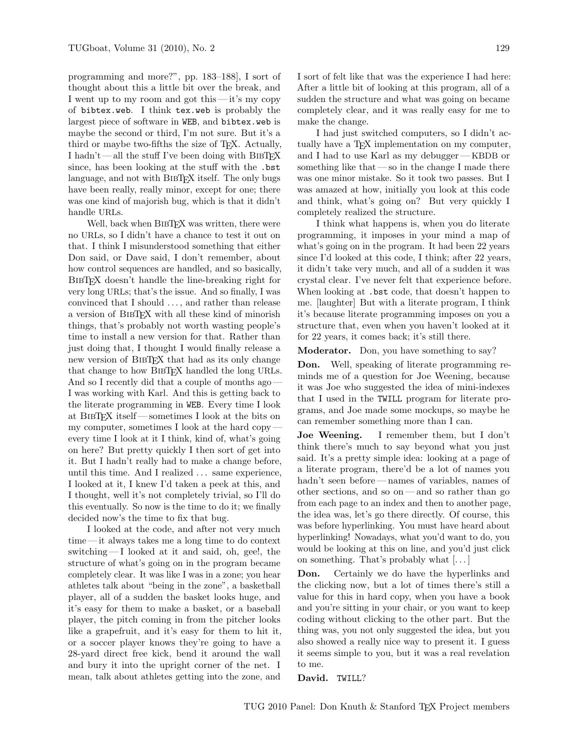programming and more?", pp. 183–188], I sort of thought about this a little bit over the break, and I went up to my room and got this— it's my copy of bibtex.web. I think tex.web is probably the largest piece of software in WEB, and bibtex.web is maybe the second or third, I'm not sure. But it's a third or maybe two-fifths the size of TEX. Actually, I hadn't — all the stuff I've been doing with BibTEX since, has been looking at the stuff with the .bst language, and not with BIBTEX itself. The only bugs have been really, really minor, except for one; there was one kind of majorish bug, which is that it didn't handle URLs.

Well, back when BIBTEX was written, there were no URLs, so I didn't have a chance to test it out on that. I think I misunderstood something that either Don said, or Dave said, I don't remember, about how control sequences are handled, and so basically, BIBTEX doesn't handle the line-breaking right for very long URLs; that's the issue. And so finally, I was convinced that I should . . . , and rather than release a version of BIBT<sub>EX</sub> with all these kind of minorish things, that's probably not worth wasting people's time to install a new version for that. Rather than just doing that, I thought I would finally release a new version of BIBTEX that had as its only change that change to how BIBTEX handled the long URLs. And so I recently did that a couple of months ago — I was working with Karl. And this is getting back to the literate programming in WEB. Every time I look at BibTEX itself— sometimes I look at the bits on my computer, sometimes I look at the hard copy every time I look at it I think, kind of, what's going on here? But pretty quickly I then sort of get into it. But I hadn't really had to make a change before, until this time. And I realized . . . same experience, I looked at it, I knew I'd taken a peek at this, and I thought, well it's not completely trivial, so I'll do this eventually. So now is the time to do it; we finally decided now's the time to fix that bug.

I looked at the code, and after not very much time — it always takes me a long time to do context switching— I looked at it and said, oh, gee!, the structure of what's going on in the program became completely clear. It was like I was in a zone; you hear athletes talk about "being in the zone", a basketball player, all of a sudden the basket looks huge, and it's easy for them to make a basket, or a baseball player, the pitch coming in from the pitcher looks like a grapefruit, and it's easy for them to hit it, or a soccer player knows they're going to have a 28-yard direct free kick, bend it around the wall and bury it into the upright corner of the net. I mean, talk about athletes getting into the zone, and

I sort of felt like that was the experience I had here: After a little bit of looking at this program, all of a sudden the structure and what was going on became completely clear, and it was really easy for me to make the change.

I had just switched computers, so I didn't actually have a TEX implementation on my computer, and I had to use Karl as my debugger— KBDB or something like that  $-\infty$  in the change I made there was one minor mistake. So it took two passes. But I was amazed at how, initially you look at this code and think, what's going on? But very quickly I completely realized the structure.

I think what happens is, when you do literate programming, it imposes in your mind a map of what's going on in the program. It had been 22 years since I'd looked at this code, I think; after 22 years, it didn't take very much, and all of a sudden it was crystal clear. I've never felt that experience before. When looking at .bst code, that doesn't happen to me. [laughter] But with a literate program, I think it's because literate programming imposes on you a structure that, even when you haven't looked at it for 22 years, it comes back; it's still there.

Moderator. Don, you have something to say?

Don. Well, speaking of literate programming reminds me of a question for Joe Weening, because it was Joe who suggested the idea of mini-indexes that I used in the TWILL program for literate programs, and Joe made some mockups, so maybe he can remember something more than I can.

Joe Weening. I remember them, but I don't think there's much to say beyond what you just said. It's a pretty simple idea: looking at a page of a literate program, there'd be a lot of names you hadn't seen before— names of variables, names of other sections, and so on— and so rather than go from each page to an index and then to another page, the idea was, let's go there directly. Of course, this was before hyperlinking. You must have heard about hyperlinking! Nowadays, what you'd want to do, you would be looking at this on line, and you'd just click on something. That's probably what [. . . ]

Don. Certainly we do have the hyperlinks and the clicking now, but a lot of times there's still a value for this in hard copy, when you have a book and you're sitting in your chair, or you want to keep coding without clicking to the other part. But the thing was, you not only suggested the idea, but you also showed a really nice way to present it. I guess it seems simple to you, but it was a real revelation to me.

David. TWILL?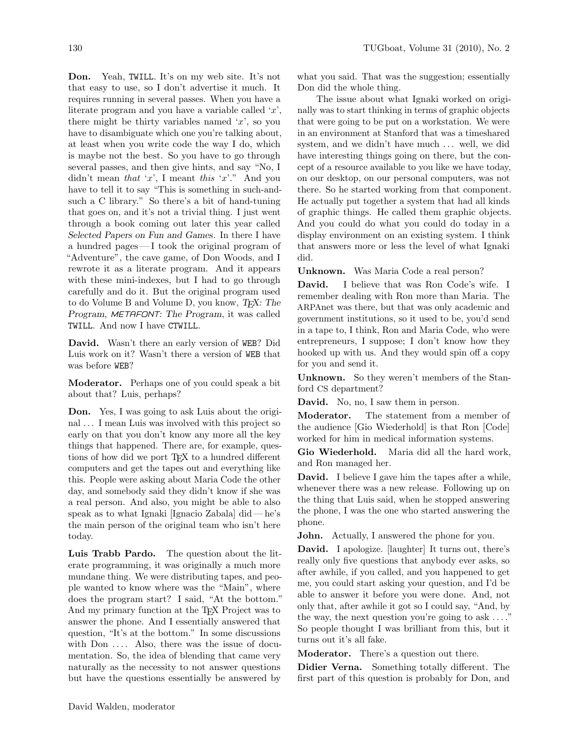Don. Yeah, TWILL. It's on my web site. It's not that easy to use, so I don't advertise it much. It requires running in several passes. When you have a literate program and you have a variable called  $x$ , there might be thirty variables named  $x'$ , so you have to disambiguate which one you're talking about, at least when you write code the way I do, which is maybe not the best. So you have to go through several passes, and then give hints, and say "No, I didn't mean that 'x', I meant this 'x'." And you have to tell it to say "This is something in such-andsuch a C library." So there's a bit of hand-tuning that goes on, and it's not a trivial thing. I just went through a book coming out later this year called Selected Papers on Fun and Games. In there I have a hundred pages— I took the original program of "Adventure", the cave game, of Don Woods, and I rewrote it as a literate program. And it appears with these mini-indexes, but I had to go through carefully and do it. But the original program used to do Volume B and Volume D, you know, T<sub>F</sub>X: The Program, METAFONT: The Program, it was called TWILL. And now I have CTWILL.

David. Wasn't there an early version of WEB? Did Luis work on it? Wasn't there a version of WEB that was before WEB?

Moderator. Perhaps one of you could speak a bit about that? Luis, perhaps?

Don. Yes, I was going to ask Luis about the original . . . I mean Luis was involved with this project so early on that you don't know any more all the key things that happened. There are, for example, questions of how did we port T<sub>EX</sub> to a hundred different computers and get the tapes out and everything like this. People were asking about Maria Code the other day, and somebody said they didn't know if she was a real person. And also, you might be able to also speak as to what Ignaki [Ignacio Zabala] did— he's the main person of the original team who isn't here today.

Luis Trabb Pardo. The question about the literate programming, it was originally a much more mundane thing. We were distributing tapes, and people wanted to know where was the "Main", where does the program start? I said, "At the bottom." And my primary function at the TEX Project was to answer the phone. And I essentially answered that question, "It's at the bottom." In some discussions with  $Don \ldots$  Also, there was the issue of documentation. So, the idea of blending that came very naturally as the necessity to not answer questions but have the questions essentially be answered by

what you said. That was the suggestion; essentially Don did the whole thing.

The issue about what Ignaki worked on originally was to start thinking in terms of graphic objects that were going to be put on a workstation. We were in an environment at Stanford that was a timeshared system, and we didn't have much ... well, we did have interesting things going on there, but the concept of a resource available to you like we have today, on our desktop, on our personal computers, was not there. So he started working from that component. He actually put together a system that had all kinds of graphic things. He called them graphic objects. And you could do what you could do today in a display environment on an existing system. I think that answers more or less the level of what Ignaki did.

Unknown. Was Maria Code a real person?

David. I believe that was Ron Code's wife. I remember dealing with Ron more than Maria. The ARPAnet was there, but that was only academic and government institutions, so it used to be, you'd send in a tape to, I think, Ron and Maria Code, who were entrepreneurs, I suppose; I don't know how they hooked up with us. And they would spin off a copy for you and send it.

Unknown. So they weren't members of the Stanford CS department?

David. No, no, I saw them in person.

Moderator. The statement from a member of the audience [Gio Wiederhold] is that Ron [Code] worked for him in medical information systems.

Gio Wiederhold. Maria did all the hard work, and Ron managed her.

David. I believe I gave him the tapes after a while, whenever there was a new release. Following up on the thing that Luis said, when he stopped answering the phone, I was the one who started answering the phone.

John. Actually, I answered the phone for you.

David. I apologize. [laughter] It turns out, there's really only five questions that anybody ever asks, so after awhile, if you called, and you happened to get me, you could start asking your question, and I'd be able to answer it before you were done. And, not only that, after awhile it got so I could say, "And, by the way, the next question you're going to ask  $\dots$ ." So people thought I was brilliant from this, but it turns out it's all fake.

Moderator. There's a question out there.

Didier Verna. Something totally different. The first part of this question is probably for Don, and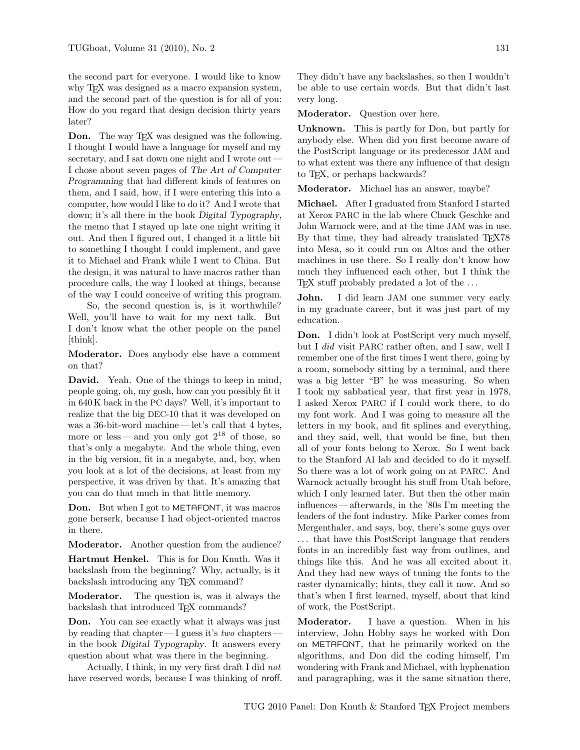the second part for everyone. I would like to know why T<sub>E</sub>X was designed as a macro expansion system, and the second part of the question is for all of you: How do you regard that design decision thirty years later?

**Don.** The way T<sub>E</sub>X was designed was the following. I thought I would have a language for myself and my secretary, and I sat down one night and I wrote out – I chose about seven pages of The Art of Computer Programming that had different kinds of features on them, and I said, how, if I were entering this into a computer, how would I like to do it? And I wrote that down; it's all there in the book Digital Typography, the memo that I stayed up late one night writing it out. And then I figured out, I changed it a little bit to something I thought I could implement, and gave it to Michael and Frank while I went to China. But the design, it was natural to have macros rather than procedure calls, the way I looked at things, because of the way I could conceive of writing this program.

So, the second question is, is it worthwhile? Well, you'll have to wait for my next talk. But I don't know what the other people on the panel [think].

Moderator. Does anybody else have a comment on that?

David. Yeah. One of the things to keep in mind, people going, oh, my gosh, how can you possibly fit it in 640 K back in the PC days? Well, it's important to realize that the big DEC-10 that it was developed on was a 36-bit-word machine— let's call that 4 bytes, more or less—and you only got  $2^{18}$  of those, so that's only a megabyte. And the whole thing, even in the big version, fit in a megabyte, and, boy, when you look at a lot of the decisions, at least from my perspective, it was driven by that. It's amazing that you can do that much in that little memory.

Don. But when I got to METAFONT, it was macros gone berserk, because I had object-oriented macros in there.

Moderator. Another question from the audience?

Hartmut Henkel. This is for Don Knuth. Was it backslash from the beginning? Why, actually, is it backslash introducing any TEX command?

Moderator. The question is, was it always the backslash that introduced T<sub>EX</sub> commands?

Don. You can see exactly what it always was just by reading that chapter  $\overline{\phantom{a}}$  guess it's *two* chapters – in the book Digital Typography. It answers every question about what was there in the beginning.

Actually, I think, in my very first draft I did not have reserved words, because I was thinking of nroff. They didn't have any backslashes, so then I wouldn't be able to use certain words. But that didn't last very long.

Moderator. Question over here.

Unknown. This is partly for Don, but partly for anybody else. When did you first become aware of the PostScript language or its predecessor JAM and to what extent was there any influence of that design to TEX, or perhaps backwards?

Moderator. Michael has an answer, maybe?

Michael. After I graduated from Stanford I started at Xerox PARC in the lab where Chuck Geschke and John Warnock were, and at the time JAM was in use. By that time, they had already translated T<sub>EX78</sub> into Mesa, so it could run on Altos and the other machines in use there. So I really don't know how much they influenced each other, but I think the T<sub>EX</sub> stuff probably predated a lot of the ...

John. I did learn JAM one summer very early in my graduate career, but it was just part of my education.

Don. I didn't look at PostScript very much myself, but I did visit PARC rather often, and I saw, well I remember one of the first times I went there, going by a room, somebody sitting by a terminal, and there was a big letter "B" he was measuring. So when I took my sabbatical year, that first year in 1978, I asked Xerox PARC if I could work there, to do my font work. And I was going to measure all the letters in my book, and fit splines and everything, and they said, well, that would be fine, but then all of your fonts belong to Xerox. So I went back to the Stanford AI lab and decided to do it myself. So there was a lot of work going on at PARC. And Warnock actually brought his stuff from Utah before, which I only learned later. But then the other main influences — afterwards, in the '80s I'm meeting the leaders of the font industry. Mike Parker comes from Mergenthaler, and says, boy, there's some guys over . . . that have this PostScript language that renders fonts in an incredibly fast way from outlines, and things like this. And he was all excited about it. And they had new ways of tuning the fonts to the raster dynamically; hints, they call it now. And so that's when I first learned, myself, about that kind of work, the PostScript.

Moderator. I have a question. When in his interview, John Hobby says he worked with Don on METAFONT, that he primarily worked on the algorithms, and Don did the coding himself, I'm wondering with Frank and Michael, with hyphenation and paragraphing, was it the same situation there,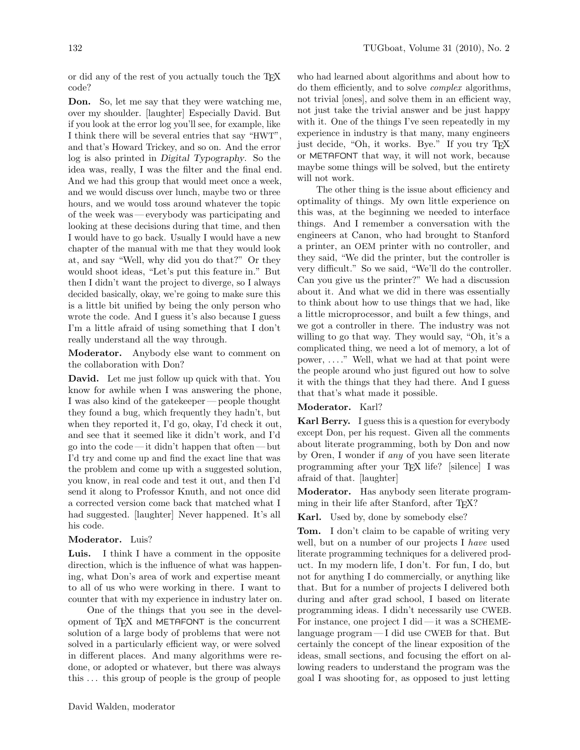or did any of the rest of you actually touch the TEX code?

Don. So, let me say that they were watching me, over my shoulder. [laughter] Especially David. But if you look at the error log you'll see, for example, like I think there will be several entries that say "HWT", and that's Howard Trickey, and so on. And the error log is also printed in Digital Typography. So the idea was, really, I was the filter and the final end. And we had this group that would meet once a week, and we would discuss over lunch, maybe two or three hours, and we would toss around whatever the topic of the week was — everybody was participating and looking at these decisions during that time, and then I would have to go back. Usually I would have a new chapter of the manual with me that they would look at, and say "Well, why did you do that?" Or they would shoot ideas, "Let's put this feature in." But then I didn't want the project to diverge, so I always decided basically, okay, we're going to make sure this is a little bit unified by being the only person who wrote the code. And I guess it's also because I guess I'm a little afraid of using something that I don't really understand all the way through.

Moderator. Anybody else want to comment on the collaboration with Don?

David. Let me just follow up quick with that. You know for awhile when I was answering the phone, I was also kind of the gatekeeper— people thought they found a bug, which frequently they hadn't, but when they reported it, I'd go, okay, I'd check it out, and see that it seemed like it didn't work, and I'd go into the code — it didn't happen that often — but I'd try and come up and find the exact line that was the problem and come up with a suggested solution, you know, in real code and test it out, and then I'd send it along to Professor Knuth, and not once did a corrected version come back that matched what I had suggested. [laughter] Never happened. It's all his code.

## Moderator. Luis?

Luis. I think I have a comment in the opposite direction, which is the influence of what was happening, what Don's area of work and expertise meant to all of us who were working in there. I want to counter that with my experience in industry later on.

One of the things that you see in the development of T<sub>F</sub>X and METAFONT is the concurrent solution of a large body of problems that were not solved in a particularly efficient way, or were solved in different places. And many algorithms were redone, or adopted or whatever, but there was always this . . . this group of people is the group of people

who had learned about algorithms and about how to do them efficiently, and to solve complex algorithms, not trivial [ones], and solve them in an efficient way, not just take the trivial answer and be just happy with it. One of the things I've seen repeatedly in my experience in industry is that many, many engineers just decide, "Oh, it works. Bye." If you try TEX or METAFONT that way, it will not work, because maybe some things will be solved, but the entirety will not work.

The other thing is the issue about efficiency and optimality of things. My own little experience on this was, at the beginning we needed to interface things. And I remember a conversation with the engineers at Canon, who had brought to Stanford a printer, an OEM printer with no controller, and they said, "We did the printer, but the controller is very difficult." So we said, "We'll do the controller. Can you give us the printer?" We had a discussion about it. And what we did in there was essentially to think about how to use things that we had, like a little microprocessor, and built a few things, and we got a controller in there. The industry was not willing to go that way. They would say, "Oh, it's a complicated thing, we need a lot of memory, a lot of power, . . . ." Well, what we had at that point were the people around who just figured out how to solve it with the things that they had there. And I guess that that's what made it possible.

## Moderator. Karl?

Karl Berry. I guess this is a question for everybody except Don, per his request. Given all the comments about literate programming, both by Don and now by Oren, I wonder if any of you have seen literate programming after your TEX life? [silence] I was afraid of that. [laughter]

Moderator. Has anybody seen literate programming in their life after Stanford, after T<sub>E</sub>X?

Karl. Used by, done by somebody else?

Tom. I don't claim to be capable of writing very well, but on a number of our projects I have used literate programming techniques for a delivered product. In my modern life, I don't. For fun, I do, but not for anything I do commercially, or anything like that. But for a number of projects I delivered both during and after grad school, I based on literate programming ideas. I didn't necessarily use CWEB. For instance, one project I did — it was a SCHEMElanguage program— I did use CWEB for that. But certainly the concept of the linear exposition of the ideas, small sections, and focusing the effort on allowing readers to understand the program was the goal I was shooting for, as opposed to just letting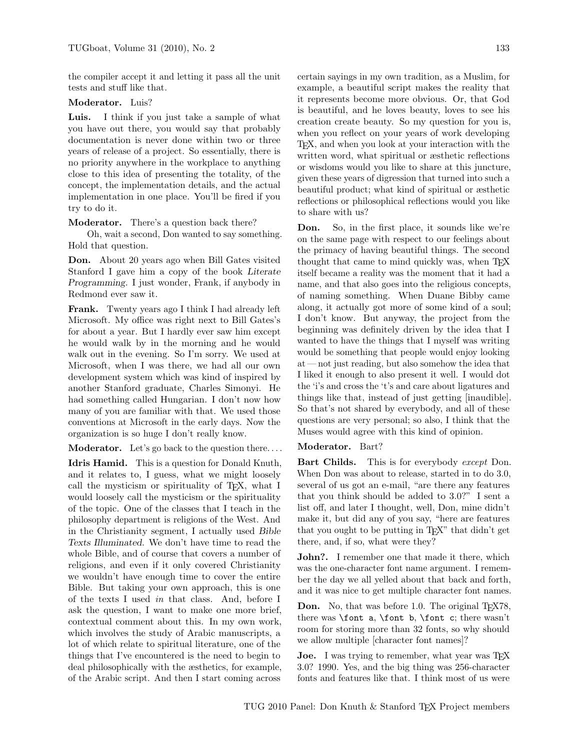the compiler accept it and letting it pass all the unit tests and stuff like that.

#### Moderator. Luis?

Luis. I think if you just take a sample of what you have out there, you would say that probably documentation is never done within two or three years of release of a project. So essentially, there is no priority anywhere in the workplace to anything close to this idea of presenting the totality, of the concept, the implementation details, and the actual implementation in one place. You'll be fired if you try to do it.

Moderator. There's a question back there?

Oh, wait a second, Don wanted to say something. Hold that question.

Don. About 20 years ago when Bill Gates visited Stanford I gave him a copy of the book Literate Programming. I just wonder, Frank, if anybody in Redmond ever saw it.

Frank. Twenty years ago I think I had already left Microsoft. My office was right next to Bill Gates's for about a year. But I hardly ever saw him except he would walk by in the morning and he would walk out in the evening. So I'm sorry. We used at Microsoft, when I was there, we had all our own development system which was kind of inspired by another Stanford graduate, Charles Simonyi. He had something called Hungarian. I don't now how many of you are familiar with that. We used those conventions at Microsoft in the early days. Now the organization is so huge I don't really know.

**Moderator.** Let's go back to the question there....

Idris Hamid. This is a question for Donald Knuth, and it relates to, I guess, what we might loosely call the mysticism or spirituality of TEX, what I would loosely call the mysticism or the spirituality of the topic. One of the classes that I teach in the philosophy department is religions of the West. And in the Christianity segment, I actually used Bible Texts Illuminated. We don't have time to read the whole Bible, and of course that covers a number of religions, and even if it only covered Christianity we wouldn't have enough time to cover the entire Bible. But taking your own approach, this is one of the texts I used in that class. And, before I ask the question, I want to make one more brief, contextual comment about this. In my own work, which involves the study of Arabic manuscripts, a lot of which relate to spiritual literature, one of the things that I've encountered is the need to begin to deal philosophically with the æsthetics, for example, of the Arabic script. And then I start coming across

certain sayings in my own tradition, as a Muslim, for example, a beautiful script makes the reality that it represents become more obvious. Or, that God is beautiful, and he loves beauty, loves to see his creation create beauty. So my question for you is, when you reflect on your years of work developing TEX, and when you look at your interaction with the written word, what spiritual or æsthetic reflections or wisdoms would you like to share at this juncture, given these years of digression that turned into such a beautiful product; what kind of spiritual or æsthetic reflections or philosophical reflections would you like to share with us?

Don. So, in the first place, it sounds like we're on the same page with respect to our feelings about the primacy of having beautiful things. The second thought that came to mind quickly was, when TEX itself became a reality was the moment that it had a name, and that also goes into the religious concepts, of naming something. When Duane Bibby came along, it actually got more of some kind of a soul; I don't know. But anyway, the project from the beginning was definitely driven by the idea that I wanted to have the things that I myself was writing would be something that people would enjoy looking at — not just reading, but also somehow the idea that I liked it enough to also present it well. I would dot the 'i's and cross the 't's and care about ligatures and things like that, instead of just getting [inaudible]. So that's not shared by everybody, and all of these questions are very personal; so also, I think that the Muses would agree with this kind of opinion.

#### Moderator. Bart?

Bart Childs. This is for everybody except Don. When Don was about to release, started in to do 3.0, several of us got an e-mail, "are there any features that you think should be added to 3.0?" I sent a list off, and later I thought, well, Don, mine didn't make it, but did any of you say, "here are features that you ought to be putting in T<sub>E</sub>X" that didn't get there, and, if so, what were they?

John?. I remember one that made it there, which was the one-character font name argument. I remember the day we all yelled about that back and forth, and it was nice to get multiple character font names.

**Don.** No, that was before 1.0. The original  $T_F X 78$ , there was \font a, \font b, \font c; there wasn't room for storing more than 32 fonts, so why should we allow multiple [character font names]?

Joe. I was trying to remember, what year was TEX 3.0? 1990. Yes, and the big thing was 256-character fonts and features like that. I think most of us were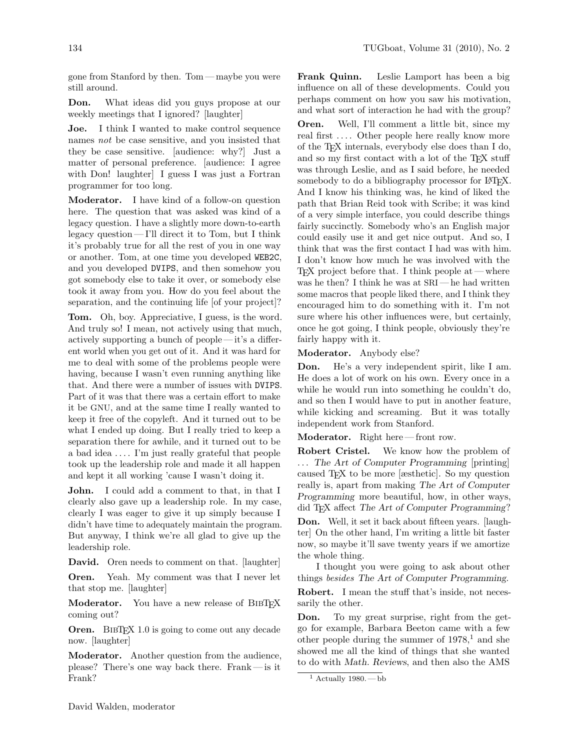gone from Stanford by then. Tom — maybe you were still around.

Don. What ideas did you guys propose at our weekly meetings that I ignored? [laughter]

Joe. I think I wanted to make control sequence names not be case sensitive, and you insisted that they be case sensitive. [audience: why?] Just a matter of personal preference. [audience: I agree with Don! laughter] I guess I was just a Fortran programmer for too long.

Moderator. I have kind of a follow-on question here. The question that was asked was kind of a legacy question. I have a slightly more down-to-earth legacy question— I'll direct it to Tom, but I think it's probably true for all the rest of you in one way or another. Tom, at one time you developed WEB2C, and you developed DVIPS, and then somehow you got somebody else to take it over, or somebody else took it away from you. How do you feel about the separation, and the continuing life [of your project]?

Tom. Oh, boy. Appreciative, I guess, is the word. And truly so! I mean, not actively using that much, actively supporting a bunch of people — it's a different world when you get out of it. And it was hard for me to deal with some of the problems people were having, because I wasn't even running anything like that. And there were a number of issues with DVIPS. Part of it was that there was a certain effort to make it be GNU, and at the same time I really wanted to keep it free of the copyleft. And it turned out to be what I ended up doing. But I really tried to keep a separation there for awhile, and it turned out to be a bad idea . . . . I'm just really grateful that people took up the leadership role and made it all happen and kept it all working 'cause I wasn't doing it.

John. I could add a comment to that, in that I clearly also gave up a leadership role. In my case, clearly I was eager to give it up simply because I didn't have time to adequately maintain the program. But anyway, I think we're all glad to give up the leadership role.

David. Oren needs to comment on that. [laughter]

Oren. Yeah. My comment was that I never let that stop me. [laughter]

Moderator. You have a new release of BIBTEX coming out?

Oren. BIBTEX 1.0 is going to come out any decade now. [laughter]

Moderator. Another question from the audience, please? There's one way back there. Frank— is it Frank?

Frank Quinn. Leslie Lamport has been a big influence on all of these developments. Could you perhaps comment on how you saw his motivation, and what sort of interaction he had with the group?

Oren. Well, I'll comment a little bit, since my real first .... Other people here really know more of the TEX internals, everybody else does than I do, and so my first contact with a lot of the T<sub>E</sub>X stuff was through Leslie, and as I said before, he needed somebody to do a bibliography processor for LAT<sub>EX</sub>. And I know his thinking was, he kind of liked the path that Brian Reid took with Scribe; it was kind of a very simple interface, you could describe things fairly succinctly. Somebody who's an English major could easily use it and get nice output. And so, I think that was the first contact I had was with him. I don't know how much he was involved with the  $TFX$  project before that. I think people at — where was he then? I think he was at  $SRI$ —he had written some macros that people liked there, and I think they encouraged him to do something with it. I'm not sure where his other influences were, but certainly, once he got going, I think people, obviously they're fairly happy with it.

Moderator. Anybody else?

Don. He's a very independent spirit, like I am. He does a lot of work on his own. Every once in a while he would run into something he couldn't do, and so then I would have to put in another feature, while kicking and screaming. But it was totally independent work from Stanford.

Moderator. Right here-front row.

Robert Cristel. We know how the problem of ... The Art of Computer Programming [printing] caused TEX to be more [æsthetic]. So my question really is, apart from making The Art of Computer Programming more beautiful, how, in other ways, did TEX affect The Art of Computer Programming?

Don. Well, it set it back about fifteen years. [laughter] On the other hand, I'm writing a little bit faster now, so maybe it'll save twenty years if we amortize the whole thing.

I thought you were going to ask about other things besides The Art of Computer Programming.

Robert. I mean the stuff that's inside, not necessarily the other.

Don. To my great surprise, right from the getgo for example, Barbara Beeton came with a few other people during the summer of  $1978<sup>1</sup>$  and she showed me all the kind of things that she wanted to do with Math. Reviews, and then also the AMS

<sup>&</sup>lt;sup>1</sup> Actually 1980. — bb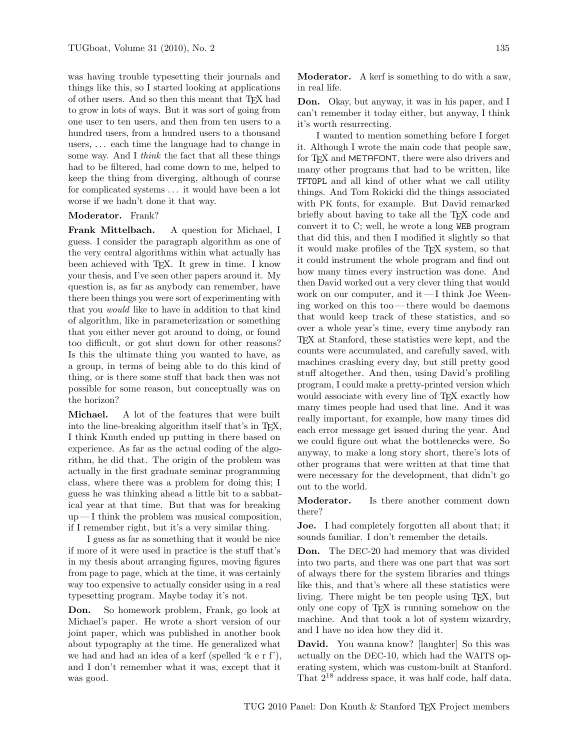was having trouble typesetting their journals and things like this, so I started looking at applications of other users. And so then this meant that TEX had to grow in lots of ways. But it was sort of going from one user to ten users, and then from ten users to a hundred users, from a hundred users to a thousand users, . . . each time the language had to change in some way. And I think the fact that all these things had to be filtered, had come down to me, helped to keep the thing from diverging, although of course for complicated systems  $\dots$  it would have been a lot worse if we hadn't done it that way.

#### Moderator. Frank?

Frank Mittelbach. A question for Michael, I guess. I consider the paragraph algorithm as one of the very central algorithms within what actually has been achieved with TEX. It grew in time. I know your thesis, and I've seen other papers around it. My question is, as far as anybody can remember, have there been things you were sort of experimenting with that you would like to have in addition to that kind of algorithm, like in parameterization or something that you either never got around to doing, or found too difficult, or got shut down for other reasons? Is this the ultimate thing you wanted to have, as a group, in terms of being able to do this kind of thing, or is there some stuff that back then was not possible for some reason, but conceptually was on the horizon?

Michael. A lot of the features that were built into the line-breaking algorithm itself that's in TFX, I think Knuth ended up putting in there based on experience. As far as the actual coding of the algorithm, he did that. The origin of the problem was actually in the first graduate seminar programming class, where there was a problem for doing this; I guess he was thinking ahead a little bit to a sabbatical year at that time. But that was for breaking  $up-I$  think the problem was musical composition, if I remember right, but it's a very similar thing.

I guess as far as something that it would be nice if more of it were used in practice is the stuff that's in my thesis about arranging figures, moving figures from page to page, which at the time, it was certainly way too expensive to actually consider using in a real typesetting program. Maybe today it's not.

Don. So homework problem, Frank, go look at Michael's paper. He wrote a short version of our joint paper, which was published in another book about typography at the time. He generalized what we had and had an idea of a kerf (spelled 'k e r f'), and I don't remember what it was, except that it was good.

Moderator. A kerf is something to do with a saw, in real life.

Don. Okay, but anyway, it was in his paper, and I can't remember it today either, but anyway, I think it's worth resurrecting.

I wanted to mention something before I forget it. Although I wrote the main code that people saw, for T<sub>F</sub>X and METAFONT, there were also drivers and many other programs that had to be written, like TFTOPL and all kind of other what we call utility things. And Tom Rokicki did the things associated with PK fonts, for example. But David remarked briefly about having to take all the T<sub>EX</sub> code and convert it to C; well, he wrote a long WEB program that did this, and then I modified it slightly so that it would make profiles of the TEX system, so that it could instrument the whole program and find out how many times every instruction was done. And then David worked out a very clever thing that would work on our computer, and it— I think Joe Weening worked on this too— there would be daemons that would keep track of these statistics, and so over a whole year's time, every time anybody ran TEX at Stanford, these statistics were kept, and the counts were accumulated, and carefully saved, with machines crashing every day, but still pretty good stuff altogether. And then, using David's profiling program, I could make a pretty-printed version which would associate with every line of T<sub>E</sub>X exactly how many times people had used that line. And it was really important, for example, how many times did each error message get issued during the year. And we could figure out what the bottlenecks were. So anyway, to make a long story short, there's lots of other programs that were written at that time that were necessary for the development, that didn't go out to the world.

Moderator. Is there another comment down there?

Joe. I had completely forgotten all about that; it sounds familiar. I don't remember the details.

Don. The DEC-20 had memory that was divided into two parts, and there was one part that was sort of always there for the system libraries and things like this, and that's where all these statistics were living. There might be ten people using TEX, but only one copy of TEX is running somehow on the machine. And that took a lot of system wizardry, and I have no idea how they did it.

David. You wanna know? [laughter] So this was actually on the DEC-10, which had the WAITS operating system, which was custom-built at Stanford. That  $2^{18}$  address space, it was half code, half data.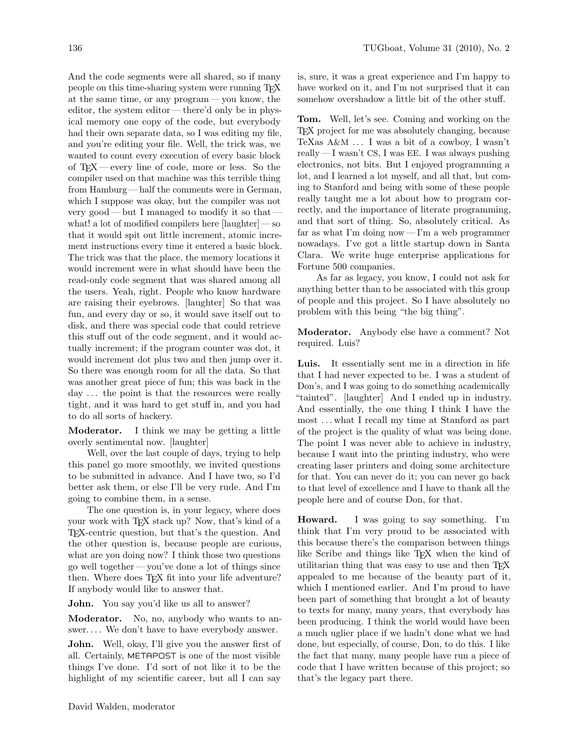And the code segments were all shared, so if many people on this time-sharing system were running TEX at the same time, or any program— you know, the editor, the system editor— there'd only be in physical memory one copy of the code, but everybody had their own separate data, so I was editing my file, and you're editing your file. Well, the trick was, we wanted to count every execution of every basic block of TEX— every line of code, more or less. So the compiler used on that machine was this terrible thing from Hamburg — half the comments were in German, which I suppose was okay, but the compiler was not very good— but I managed to modify it so that what! a lot of modified compilers here [laughter] — so that it would spit out little increment, atomic increment instructions every time it entered a basic block. The trick was that the place, the memory locations it would increment were in what should have been the read-only code segment that was shared among all the users. Yeah, right. People who know hardware are raising their eyebrows. [laughter] So that was fun, and every day or so, it would save itself out to disk, and there was special code that could retrieve this stuff out of the code segment, and it would actually increment; if the program counter was dot, it would increment dot plus two and then jump over it. So there was enough room for all the data. So that was another great piece of fun; this was back in the day ... the point is that the resources were really tight, and it was hard to get stuff in, and you had to do all sorts of hackery.

Moderator. I think we may be getting a little overly sentimental now. [laughter]

Well, over the last couple of days, trying to help this panel go more smoothly, we invited questions to be submitted in advance. And I have two, so I'd better ask them, or else I'll be very rude. And I'm going to combine them, in a sense.

The one question is, in your legacy, where does your work with TEX stack up? Now, that's kind of a TEX-centric question, but that's the question. And the other question is, because people are curious, what are you doing now? I think those two questions go well together— you've done a lot of things since then. Where does TEX fit into your life adventure? If anybody would like to answer that.

John. You say you'd like us all to answer?

Moderator. No, no, anybody who wants to answer.... We don't have to have everybody answer.

John. Well, okay, I'll give you the answer first of all. Certainly, METAPOST is one of the most visible things I've done. I'd sort of not like it to be the highlight of my scientific career, but all I can say

is, sure, it was a great experience and I'm happy to have worked on it, and I'm not surprised that it can somehow overshadow a little bit of the other stuff.

Tom. Well, let's see. Coming and working on the TEX project for me was absolutely changing, because TeXas  $A\&M \ldots$  I was a bit of a cowboy, I wasn't really — I wasn't CS, I was EE. I was always pushing electronics, not bits. But I enjoyed programming a lot, and I learned a lot myself, and all that, but coming to Stanford and being with some of these people really taught me a lot about how to program correctly, and the importance of literate programming, and that sort of thing. So, absolutely critical. As far as what I'm doing now — I'm a web programmer nowadays. I've got a little startup down in Santa Clara. We write huge enterprise applications for Fortune 500 companies.

As far as legacy, you know, I could not ask for anything better than to be associated with this group of people and this project. So I have absolutely no problem with this being "the big thing".

Moderator. Anybody else have a comment? Not required. Luis?

Luis. It essentially sent me in a direction in life that I had never expected to be. I was a student of Don's, and I was going to do something academically "tainted". [laughter] And I ended up in industry. And essentially, the one thing I think I have the most . . . what I recall my time at Stanford as part of the project is the quality of what was being done. The point I was never able to achieve in industry, because I want into the printing industry, who were creating laser printers and doing some architecture for that. You can never do it; you can never go back to that level of excellence and I have to thank all the people here and of course Don, for that.

Howard. I was going to say something. I'm think that I'm very proud to be associated with this because there's the comparison between things like Scribe and things like TEX when the kind of utilitarian thing that was easy to use and then TEX appealed to me because of the beauty part of it, which I mentioned earlier. And I'm proud to have been part of something that brought a lot of beauty to texts for many, many years, that everybody has been producing. I think the world would have been a much uglier place if we hadn't done what we had done, but especially, of course, Don, to do this. I like the fact that many, many people have run a piece of code that I have written because of this project; so that's the legacy part there.